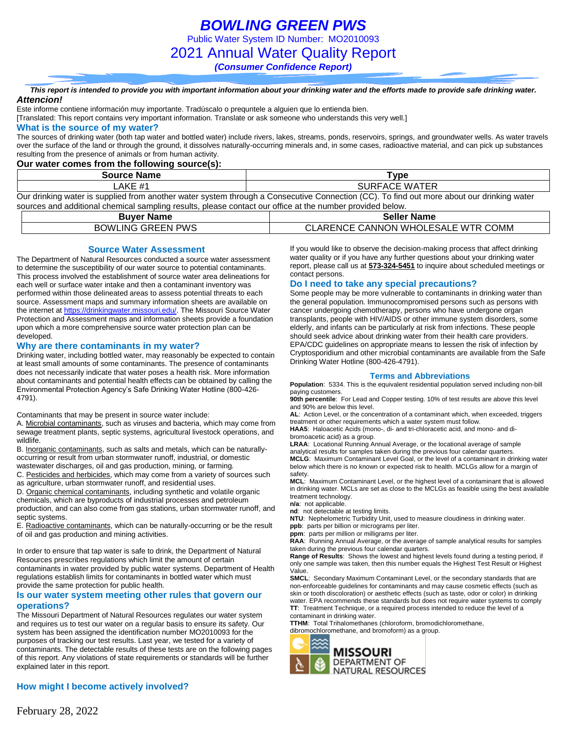*BOWLING GREEN PWS*

Public Water System ID Number: MO2010093

2021 Annual Water Quality Report

*(Consumer Confidence Report)*

#### *This report is intended to provide you with important information about your drinking water and the efforts made to provide safe drinking water. Attencion!*

Este informe contiene información muy importante. Tradúscalo o prequntele a alguien que lo entienda bien.

[Translated: This report contains very important information. Translate or ask someone who understands this very well.]

### **What is the source of my water?**

The sources of drinking water (both tap water and bottled water) include rivers, lakes, streams, ponds, reservoirs, springs, and groundwater wells. As water travels over the surface of the land or through the ground, it dissolves naturally-occurring minerals and, in some cases, radioactive material, and can pick up substances resulting from the presence of animals or from human activity.

### **Our water comes from the following source(s):**

| <b>Source Name</b> | ⊺vpe                                                                                                                                      |
|--------------------|-------------------------------------------------------------------------------------------------------------------------------------------|
| .AKE #1            | <b>SURFACE WATER</b>                                                                                                                      |
|                    | Our drinking water is supplied from another water system through a Consecutive Connection (CC). To find out more about our drinking water |

sources and additional chemical sampling results, please contact our office at the number provided below.

| Buver Name               | <b>Seller Name</b>                            |
|--------------------------|-----------------------------------------------|
| <b>BOWLING GREEN PWS</b> | CANNON WHOLESALE WTR COMM<br>⊦ ARENCE.<br>VL. |

### **Source Water Assessment**

The Department of Natural Resources conducted a source water assessment to determine the susceptibility of our water source to potential contaminants. This process involved the establishment of source water area delineations for each well or surface water intake and then a contaminant inventory was performed within those delineated areas to assess potential threats to each source. Assessment maps and summary information sheets are available on the internet a[t https://drinkingwater.missouri.edu/.](https://drinkingwater.missouri.edu/) The Missouri Source Water Protection and Assessment maps and information sheets provide a foundation upon which a more comprehensive source water protection plan can be developed.

### **Why are there contaminants in my water?**

Drinking water, including bottled water, may reasonably be expected to contain at least small amounts of some contaminants. The presence of contaminants does not necessarily indicate that water poses a health risk. More information about contaminants and potential health effects can be obtained by calling the Environmental Protection Agency's Safe Drinking Water Hotline (800-426- 4791).

Contaminants that may be present in source water include:

A. Microbial contaminants, such as viruses and bacteria, which may come from sewage treatment plants, septic systems, agricultural livestock operations, and wildlife.

B. Inorganic contaminants, such as salts and metals, which can be naturallyoccurring or result from urban stormwater runoff, industrial, or domestic wastewater discharges, oil and gas production, mining, or farming.

C. Pesticides and herbicides, which may come from a variety of sources such as agriculture, urban stormwater runoff, and residential uses.

D. Organic chemical contaminants, including synthetic and volatile organic chemicals, which are byproducts of industrial processes and petroleum production, and can also come from gas stations, urban stormwater runoff, and septic systems.

E. Radioactive contaminants, which can be naturally-occurring or be the result of oil and gas production and mining activities.

In order to ensure that tap water is safe to drink, the Department of Natural Resources prescribes regulations which limit the amount of certain contaminants in water provided by public water systems. Department of Health regulations establish limits for contaminants in bottled water which must provide the same protection for public health.

#### **Is our water system meeting other rules that govern our operations?**

The Missouri Department of Natural Resources regulates our water system and requires us to test our water on a regular basis to ensure its safety. Our system has been assigned the identification number MO2010093 for the purposes of tracking our test results. Last year, we tested for a variety of contaminants. The detectable results of these tests are on the following pages of this report. Any violations of state requirements or standards will be further explained later in this report.

### **How might I become actively involved?**

If you would like to observe the decision-making process that affect drinking water quality or if you have any further questions about your drinking water report, please call us at **573-324-5451** to inquire about scheduled meetings or contact persons.

### **Do I need to take any special precautions?**

Some people may be more vulnerable to contaminants in drinking water than the general population. Immunocompromised persons such as persons with cancer undergoing chemotherapy, persons who have undergone organ transplants, people with HIV/AIDS or other immune system disorders, some elderly, and infants can be particularly at risk from infections. These people should seek advice about drinking water from their health care providers. EPA/CDC guidelines on appropriate means to lessen the risk of infection by Cryptosporidium and other microbial contaminants are available from the Safe Drinking Water Hotline (800-426-4791).

### **Terms and Abbreviations**

**Population**: 5334. This is the equivalent residential population served including non-bill paying customers.

**90th percentile**: For Lead and Copper testing. 10% of test results are above this level and 90% are below this level.

**AL**: Action Level, or the concentration of a contaminant which, when exceeded, triggers treatment or other requirements which a water system must follow.

**HAA5**: Haloacetic Acids (mono-, di- and tri-chloracetic acid, and mono- and dibromoacetic acid) as a group.

**LRAA**: Locational Running Annual Average, or the locational average of sample analytical results for samples taken during the previous four calendar quarters. **MCLG**: Maximum Contaminant Level Goal, or the level of a contaminant in drinking water below which there is no known or expected risk to health. MCLGs allow for a margin of safety.

**MCL**: Maximum Contaminant Level, or the highest level of a contaminant that is allowed in drinking water. MCLs are set as close to the MCLGs as feasible using the best available treatment technology.

**n/a**: not applicable.

**nd**: not detectable at testing limits.

**NTU**: Nephelometric Turbidity Unit, used to measure cloudiness in drinking water.

**ppb**: parts per billion or micrograms per liter. **ppm**: parts per million or milligrams per liter.

**RAA**: Running Annual Average, or the average of sample analytical results for samples

taken during the previous four calendar quarters. **Range of Results**: Shows the lowest and highest levels found during a testing period, if only one sample was taken, then this number equals the Highest Test Result or Highest Value.

**SMCL**: Secondary Maximum Contaminant Level, or the secondary standards that are non-enforceable guidelines for contaminants and may cause cosmetic effects (such as skin or tooth discoloration) or aesthetic effects (such as taste, odor or color) in drinking water. EPA recommends these standards but does not require water systems to comply **TT**: Treatment Technique, or a required process intended to reduce the level of a contaminant in drinking water.

**TTHM**: Total Trihalomethanes (chloroform, bromodichloromethane, dibromochloromethane, and bromoform) as a group.

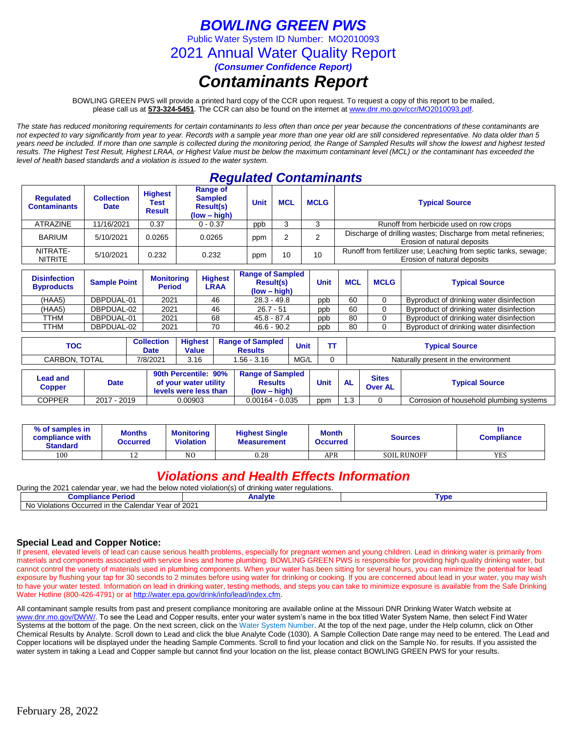# *BOWLING GREEN PWS*

Public Water System ID Number: MO2010093

2021 Annual Water Quality Report

*(Consumer Confidence Report)*

## *Contaminants Report*

BOWLING GREEN PWS will provide a printed hard copy of the CCR upon request. To request a copy of this report to be mailed, please call us at **573-324-5451***.* The CCR can also be found on the internet at www.dnr.mo.gov/ccr/MO2010093.pdf.

*The state has reduced monitoring requirements for certain contaminants to less often than once per year because the concentrations of these contaminants are not expected to vary significantly from year to year. Records with a sample year more than one year old are still considered representative. No data older than 5 years need be included. If more than one sample is collected during the monitoring period, the Range of Sampled Results will show the lowest and highest tested results. The Highest Test Result, Highest LRAA, or Highest Value must be below the maximum contaminant level (MCL) or the contaminant has exceeded the level of health based standards and a violation is issued to the water system.* 

## *Regulated Contaminants*

| <b>Regulated</b><br><b>Contaminants</b> | <b>Collection</b><br><b>Date</b> | <b>Highest</b><br>Test<br><b>Result</b> | <b>Range of</b><br><b>Sampled</b><br>Result(s)<br>$(low - high)$ | <b>Unit</b> | <b>MCL</b> | <b>MCLG</b> | <b>Typical Source</b>                                                                          |
|-----------------------------------------|----------------------------------|-----------------------------------------|------------------------------------------------------------------|-------------|------------|-------------|------------------------------------------------------------------------------------------------|
| ATRAZINE                                | 11/16/2021                       | 0.37                                    | $0 - 0.37$                                                       | ppb         |            |             | Runoff from herbicide used on row crops                                                        |
| <b>BARIUM</b>                           | 5/10/2021                        | 0.0265                                  | 0.0265                                                           | ppm         |            |             | Discharge of drilling wastes; Discharge from metal refineries;<br>Erosion of natural deposits  |
| NITRATE-<br><b>NITRITE</b>              | 5/10/2021                        | 0.232                                   | 0.232                                                            | ppm         | 10         | 10          | Runoff from fertilizer use; Leaching from septic tanks, sewage;<br>Erosion of natural deposits |

| <b>Disinfection</b><br><b>Byproducts</b> | <b>Sample Point</b> | <b>Monitoring</b><br><b>Period</b> | <b>Highest</b><br>LRAA | <b>Range of Sampled</b><br><b>Result(s)</b><br>$(low - high)$ | Unit | <b>MCL</b> | <b>MCLG</b> | <b>Typical Source</b>                    |
|------------------------------------------|---------------------|------------------------------------|------------------------|---------------------------------------------------------------|------|------------|-------------|------------------------------------------|
| (HAA5)                                   | DBPDUAL-01          | 2021                               | 46                     | $28.3 - 49.8$                                                 | ppb  | 60         |             | Byproduct of drinking water disinfection |
| (HAA5)                                   | DBPDUAL-02          | 2021                               | 46                     | $26.7 - 51$                                                   | ppb  | 60         |             | Byproduct of drinking water disinfection |
| TTHM                                     | DBPDUAL-01          | 2021                               | 68                     | $45.8 - 87.4$                                                 | ppb  | 80         |             | Byproduct of drinking water disinfection |
| TTHM                                     | DBPDUAL-02          | 2021                               | 70                     | $46.6 - 90.2$                                                 | ppb  | 80         |             | Byproduct of drinking water disinfection |

| <b>TOC</b>              | <b>Collection</b><br>Date | <b>Highest</b><br>Value | <b>Range of Sampled</b><br>Results | <b>Unit</b>   | <b>Typical Source</b>                |
|-------------------------|---------------------------|-------------------------|------------------------------------|---------------|--------------------------------------|
| CARBON.<br><b>TOTAL</b> | 7/8/2021                  | 3.16                    | $.56 -$<br>3.16                    | 101<br>IVIG/L | Naturally present in the environment |

| ead and.<br>$\mathsf{Copper}$ | <b>Date</b> | 90th Percentile: 90%<br>of your water utility<br>levels were less than | <b>Range of Sampled</b><br><b>Results</b><br>(low – hiah) | <b>Unit</b> | <b>AL</b> | <b>Sites</b><br><b>Over AL</b> | <b>Typical Source</b>                   |
|-------------------------------|-------------|------------------------------------------------------------------------|-----------------------------------------------------------|-------------|-----------|--------------------------------|-----------------------------------------|
| COPPER                        | 2017 - 2019 | 0.00903                                                                | 0.00164 - 0.035                                           | ppm         | $\cdot$ 3 |                                | Corrosion of household plumbing systems |

| % of samples in<br>compliance with<br><b>Standard</b> | <b>Months</b><br>Occurred | <b>Monitoring</b><br><b>Violation</b> | <b>Highest Single</b><br><b>Measurement</b> | Month<br><b>Occurred</b> | Sources            | In<br><b>Compliance</b> |
|-------------------------------------------------------|---------------------------|---------------------------------------|---------------------------------------------|--------------------------|--------------------|-------------------------|
| 100                                                   | י<br>∸                    | N <sub>O</sub>                        | 0.28                                        | APR                      | <b>SOIL RUNOFF</b> | <b>YES</b>              |

## *Violations and Health Effects Information*

| During the 2021<br>l calendar vear. we had the below noted violation(s) of drinking water regulations. |  |  |  |  |  |  |  |
|--------------------------------------------------------------------------------------------------------|--|--|--|--|--|--|--|
| Compliance Period<br>Analvte<br>Tvpe                                                                   |  |  |  |  |  |  |  |
| No Violations Occurred in the Calendar Year of 2021                                                    |  |  |  |  |  |  |  |

### **Special Lead and Copper Notice:**

If present, elevated levels of lead can cause serious health problems, especially for pregnant women and young children. Lead in drinking water is primarily from materials and components associated with service lines and home plumbing. BOWLING GREEN PWS is responsible for providing high quality drinking water, but cannot control the variety of materials used in plumbing components. When your water has been sitting for several hours, you can minimize the potential for lead exposure by flushing your tap for 30 seconds to 2 minutes before using water for drinking or cooking. If you are concerned about lead in your water, you may wish to have your water tested. Information on lead in drinking water, testing methods, and steps you can take to minimize exposure is available from the Safe Drinking Water Hotline (800-426-4791) or at [http://water.epa.gov/drink/info/lead/index.cfm.](http://water.epa.gov/drink/info/lead/index.cfm)

All contaminant sample results from past and present compliance monitoring are available online at the Missouri DNR Drinking Water Watch website at [www.dnr.mo.gov/DWW/.](http://www.dnr.mo.gov/DWW/) To see the Lead and Copper results, enter your water system's name in the box titled Water System Name, then select Find Water Systems at the bottom of the page. On the next screen, click on the Water System Number. At the top of the next page, under the Help column, click on Other Chemical Results by Analyte. Scroll down to Lead and click the blue Analyte Code (1030). A Sample Collection Date range may need to be entered. The Lead and Copper locations will be displayed under the heading Sample Comments. Scroll to find your location and click on the Sample No. for results. If you assisted the water system in taking a Lead and Copper sample but cannot find your location on the list, please contact BOWLING GREEN PWS for your results.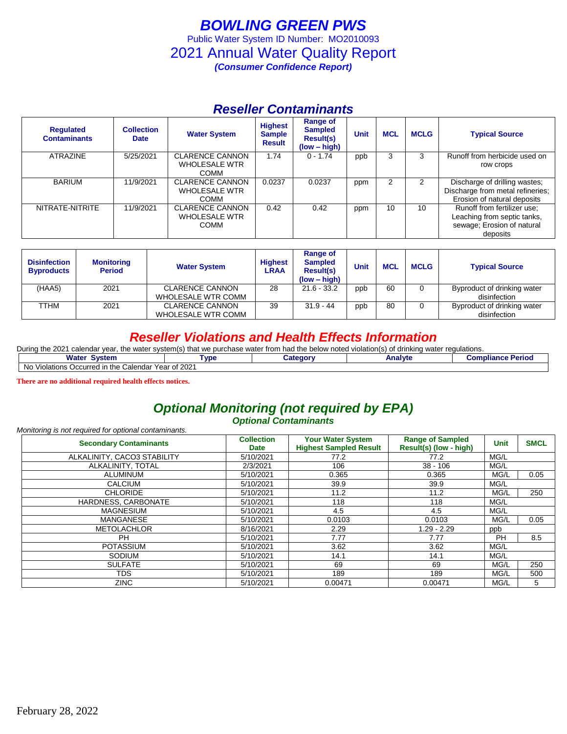## *BOWLING GREEN PWS* Public Water System ID Number: MO2010093 2021 Annual Water Quality Report *(Consumer Confidence Report)*

## *Reseller Contaminants*

| <b>Regulated</b><br><b>Contaminants</b> | <b>Collection</b><br><b>Date</b> | <b>Water System</b>                                           | <b>Highest</b><br><b>Sample</b><br><b>Result</b> | <b>Range of</b><br><b>Sampled</b><br><b>Result(s)</b><br>$(low - high)$ | <b>Unit</b> | <b>MCL</b> | <b>MCLG</b> | <b>Typical Source</b>                                                                                |
|-----------------------------------------|----------------------------------|---------------------------------------------------------------|--------------------------------------------------|-------------------------------------------------------------------------|-------------|------------|-------------|------------------------------------------------------------------------------------------------------|
| <b>ATRAZINE</b>                         | 5/25/2021                        | <b>CLARENCE CANNON</b><br><b>WHOLESALE WTR</b><br><b>COMM</b> | 1.74                                             | $0 - 1.74$                                                              | ppb         | 3          | 3           | Runoff from herbicide used on<br>row crops                                                           |
| <b>BARIUM</b>                           | 11/9/2021                        | <b>CLARENCE CANNON</b><br><b>WHOLESALE WTR</b><br><b>COMM</b> | 0.0237                                           | 0.0237                                                                  | ppm         | 2          |             | Discharge of drilling wastes;<br>Discharge from metal refineries;<br>Erosion of natural deposits     |
| NITRATE-NITRITE                         | 11/9/2021                        | <b>CLARENCE CANNON</b><br><b>WHOLESALE WTR</b><br><b>COMM</b> | 0.42                                             | 0.42                                                                    | ppm         | 10         | 10          | Runoff from fertilizer use;<br>Leaching from septic tanks,<br>sewage; Erosion of natural<br>deposits |

| <b>Disinfection</b><br><b>Byproducts</b> | <b>Monitoring</b><br><b>Period</b> | <b>Water System</b>       | <b>Highest</b><br><b>LRAA</b> | Range of<br><b>Sampled</b><br><b>Result(s)</b><br>$(low - high)$ | Unit | <b>MCL</b> | <b>MCLG</b> | <b>Typical Source</b>       |
|------------------------------------------|------------------------------------|---------------------------|-------------------------------|------------------------------------------------------------------|------|------------|-------------|-----------------------------|
| (HAA5)                                   | 2021                               | <b>CLARENCE CANNON</b>    | 28                            | $21.6 - 33.2$                                                    | ppb  | 60         |             | Byproduct of drinking water |
|                                          |                                    | <b>WHOLESALE WTR COMM</b> |                               |                                                                  |      |            |             | disinfection                |
| TTHM                                     | 2021                               | <b>CLARENCE CANNON</b>    | 39                            | $31.9 - 44$                                                      | ppb  | 80         |             | Byproduct of drinking water |
|                                          |                                    | WHOLESALE WTR COMM        |                               |                                                                  |      |            |             | disinfection                |

### *Reseller Violations and Health Effects Information*

| During the 2021<br>r, the water system(s) that we purchase water from had the below noted violation(s) of drinking water regulations,<br>i calendar vear. |             |          |         |                          |  |  |  |  |
|-----------------------------------------------------------------------------------------------------------------------------------------------------------|-------------|----------|---------|--------------------------|--|--|--|--|
| <b>Water System</b>                                                                                                                                       | <b>Type</b> | こategorv | Analvte | <b>Compliance Period</b> |  |  |  |  |
| No Violations Occurred in the Calendar Year of 2021                                                                                                       |             |          |         |                          |  |  |  |  |

**There are no additional required health effects notices.**

### *Optional Monitoring (not required by EPA) Optional Contaminants*

#### *Monitoring is not required for optional contaminants.*

| <b>Secondary Contaminants</b> | <b>Collection</b><br><b>Date</b> | <b>Your Water System</b><br><b>Highest Sampled Result</b> | <b>Range of Sampled</b><br>Result(s) (low - high) | <b>Unit</b> | <b>SMCL</b> |
|-------------------------------|----------------------------------|-----------------------------------------------------------|---------------------------------------------------|-------------|-------------|
| ALKALINITY, CACO3 STABILITY   | 5/10/2021                        | 77.2                                                      | 77.2                                              | MG/L        |             |
| ALKALINITY, TOTAL             | 2/3/2021                         | 106                                                       | $38 - 106$                                        | MG/L        |             |
| ALUMINUM                      | 5/10/2021                        | 0.365                                                     | 0.365                                             | MG/L        | 0.05        |
| <b>CALCIUM</b>                | 5/10/2021                        | 39.9                                                      | 39.9                                              | MG/L        |             |
| <b>CHLORIDE</b>               | 5/10/2021                        | 11.2                                                      | 11.2                                              | MG/L        | 250         |
| HARDNESS, CARBONATE           | 5/10/2021                        | 118                                                       | 118                                               | MG/L        |             |
| <b>MAGNESIUM</b>              | 5/10/2021                        | 4.5                                                       | 4.5                                               | MG/L        |             |
| <b>MANGANESE</b>              | 5/10/2021                        | 0.0103                                                    | 0.0103                                            | MG/L        | 0.05        |
| <b>METOLACHLOR</b>            | 8/16/2021                        | 2.29                                                      | $1.29 - 2.29$                                     | ppb         |             |
| <b>PH</b>                     | 5/10/2021                        | 7.77                                                      | 7.77                                              | <b>PH</b>   | 8.5         |
| <b>POTASSIUM</b>              | 5/10/2021                        | 3.62                                                      | 3.62                                              | MG/L        |             |
| <b>SODIUM</b>                 | 5/10/2021                        | 14.1                                                      | 14.1                                              | MG/L        |             |
| <b>SULFATE</b>                | 5/10/2021                        | 69                                                        | 69                                                | MG/L        | 250         |
| <b>TDS</b>                    | 5/10/2021                        | 189                                                       | 189                                               | MG/L        | 500         |
| <b>ZINC</b>                   | 5/10/2021                        | 0.00471                                                   | 0.00471                                           | MG/L        | 5           |